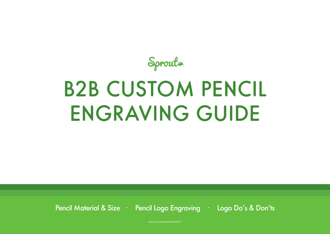

# B2B CUSTOM PENCIL ENGRAVING GUIDE

Pencil Material & Size · Pencil Logo Engraving · Logo Do's & Don'ts

Sprout is a protected trademark™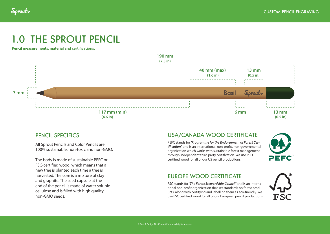

## 1.0 THE SPROUT PENCIL

**Pencil measurements, material and certifcations.**



All Sprout Pencils and Color Pencils are 100% sustainable, non-toxic and non-GMO.

The body is made of sustainable PEFC or FSC-certifed wood, which means that a new tree is planted each time a tree is harvested. The core is a mixture of clay and graphite. The seed capsule at the end of the pencil is made of water soluble cellulose and is flled with high quality, non-GMO seeds.

#### PENCIL SPECIFICS USA/CANADA WOOD CERTIFICATE

PEFC stands for *'Programme for the Endorsement of Forest Certi***f***cation'* and is an international, non-proft, non-governmental organization which works with sustainable forest management through independent third party certifcation. We use PEFC certifed wood for all of our US pencil productions.



#### EUROPE WOOD CERTIFICATE

FSC stands for *'The Forest Stewardship Council'* and is an international non-proft organization that set standards on forest products, along with certifying and labelling them as eco-friendly. We use FSC certifed wood for all of our European pencil productions.

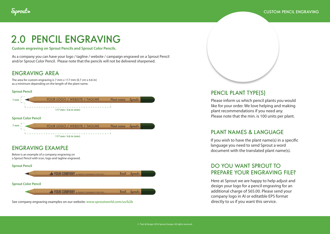

## 2.0 PENCIL ENGRAVING

**Custom engraving on Sprout Pencils and Sprout Color Pencils.**

As a company you can have your logo / tagline / website / campaign engraved on a Sprout Pencil and/or Sprout Color Pencil. Please note that the pencils will not be delivered sharpened.

#### ENGRAVING AREA

The area for custom engraving is 7 mm x 117 mm (0.7 cm x 4.6 in) as a minimum depending on the length of the plant name.

#### **Sprout Pencil**



See company engraving examples on our website: **www.sproutworld.com/us/b2b**



#### PENCIL PLANT TYPE(S)

Please inform us which pencil plants you would like for your order. We love helping and making plant recommendations if you need any. Please note that the min. is 100 units per plant.

#### PLANT NAMES & LANGUAGE

If you wish to have the plant name(s) in a specifc language you need to send Sprout a word document with the translated plant name(s).

#### DO YOU WANT SPROUT TO PREPARE YOUR ENGRAVING FILE?

Here at Sprout we are happy to help adjust and design your logo for a pencil engraving for an additional charge of \$65.00. Please send your company logo in AI or editatble EPS format directly to us if you want this service.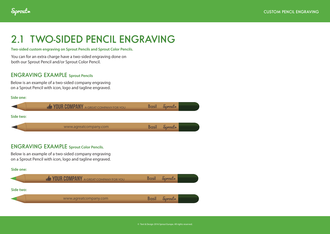## 2.1 TWO-SIDED PENCIL ENGRAVING

**Two-sided custom engraving on Sprout Pencils and Sprout Color Pencils.**

You can for an extra charge have a two-sided engraving done on both our Sprout Pencil and/or Sprout Color Pencil.

#### ENGRAVING EXAMPLE **Sprout Pencils**

Below is an example of a two-sided company engraving on a Sprout Pencil with icon, logo and tagline engraved.

| Side one: |                                      |                     |  |
|-----------|--------------------------------------|---------------------|--|
|           | YOUR COMPANY A GREAT COMPANY FOR YOU | <b>Basil</b> Sprout |  |
| Side two: |                                      |                     |  |
|           | www.agreatcompany.com                | <b>Basil</b> Sprout |  |
|           |                                      |                     |  |

#### ENGRAVING EXAMPLE **Sprout Color Pencils.**

Below is an example of a two-sided company engraving on a Sprout Pencil with icon, logo and tagline engraved.

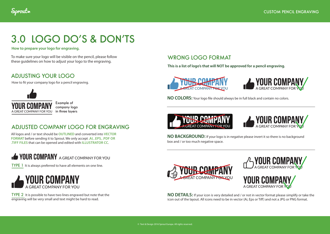

## 3.0 LOGO DO'S & DON'TS

**How to prepare your logo for engraving.**

To make sure your logo will be visible on the pencil, please follow these guidelines on how to adjust your logo to the engraving.

#### ADJUSTING YOUR LOGO

How to ft your company logo for a pencil engraving.



Example of company logo in three layers

### ADJUSTED COMPANY LOGO FOR ENGRAVING

All logos and / or text should be **OUTLINED** and converted into **VECTOR FORMAT** before sending it to Sprout. We only accept **.AI, .EPS, .PDF OR .TIFF FILES** that can be opened and edited with **ILLUSTRATOR CC**.

## **GYOUR COMPANY** A GREAT COMPANY FOR YOU

**TYPE 1** It is always preferred to have all elements on one line.



TYPE 2 It is possible to have two lines engraved but note that the engraving will be very small and text might be hard to read.

### WRONG LOGO FORMAT

**This is a list of logo's that will NOT be approved for a pencil engraving.**





**NO COLORS:** Your logo fle should always be in full black and contain no colors.





**NO BACKGROUND:** If your logo is in negative please invert it so there is no background box and / or too much negative space.







**NO DETAILS:** If your icon is very detailed and / or not in vector format please simplify or take the icon out of the layout. All icons need to be in vector (Ai, Eps or Tiff) and not a JPG or PNG format.